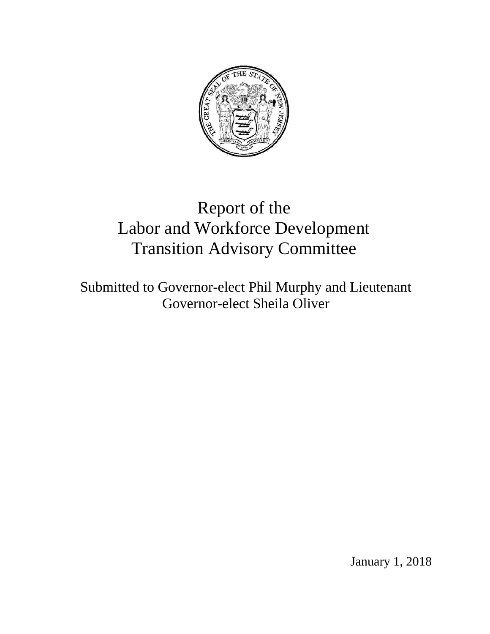

# Report of the Labor and Workforce Development Transition Advisory Committee

Submitted to Governor-elect Phil Murphy and Lieutenant Governor-elect Sheila Oliver

January 1, 2018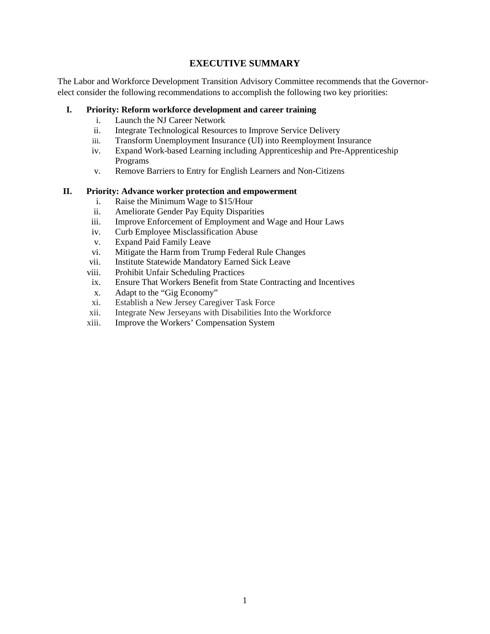# **EXECUTIVE SUMMARY**

The Labor and Workforce Development Transition Advisory Committee recommends that the Governorelect consider the following recommendations to accomplish the following two key priorities:

# **I. Priority: Reform workforce development and career training**

- i. Launch the NJ Career Network
- ii. Integrate Technological Resources to Improve Service Delivery
- iii. Transform Unemployment Insurance (UI) into Reemployment Insurance
- iv. Expand Work-based Learning including Apprenticeship and Pre-Apprenticeship Programs
- v. Remove Barriers to Entry for English Learners and Non-Citizens

# **II. Priority: Advance worker protection and empowerment**

- i. Raise the Minimum Wage to \$15/Hour<br>ii. Ameliorate Gender Pav Equity Disparit
- Ameliorate Gender Pay Equity Disparities
- iii. Improve Enforcement of Employment and Wage and Hour Laws
- iv. Curb Employee Misclassification Abuse
- v. Expand Paid Family Leave
- vi. Mitigate the Harm from Trump Federal Rule Changes
- vii. Institute Statewide Mandatory Earned Sick Leave
- viii. Prohibit Unfair Scheduling Practices
- ix. Ensure That Workers Benefit from State Contracting and Incentives
- x. Adapt to the "Gig Economy"
- xi. Establish a New Jersey Caregiver Task Force
- xii. Integrate New Jerseyans with Disabilities Into the Workforce
- xiii. Improve the Workers' Compensation System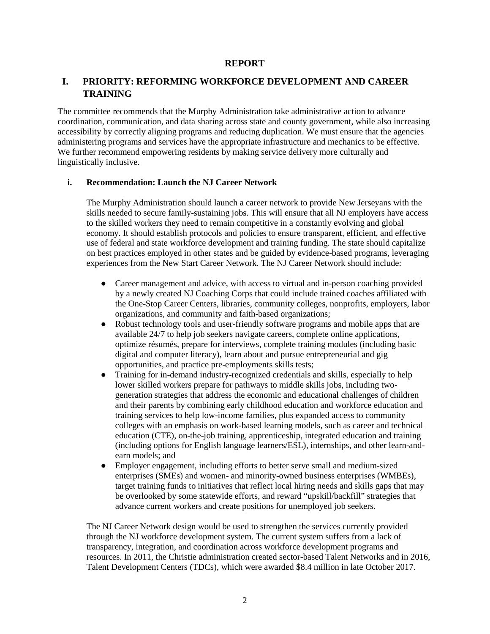# **REPORT**

# **I. PRIORITY: REFORMING WORKFORCE DEVELOPMENT AND CAREER TRAINING**

The committee recommends that the Murphy Administration take administrative action to advance coordination, communication, and data sharing across state and county government, while also increasing accessibility by correctly aligning programs and reducing duplication. We must ensure that the agencies administering programs and services have the appropriate infrastructure and mechanics to be effective. We further recommend empowering residents by making service delivery more culturally and linguistically inclusive.

# **i. Recommendation: Launch the NJ Career Network**

The Murphy Administration should launch a career network to provide New Jerseyans with the skills needed to secure family-sustaining jobs. This will ensure that all NJ employers have access to the skilled workers they need to remain competitive in a constantly evolving and global economy. It should establish protocols and policies to ensure transparent, efficient, and effective use of federal and state workforce development and training funding. The state should capitalize on best practices employed in other states and be guided by evidence-based programs, leveraging experiences from the New Start Career Network. The NJ Career Network should include:

- Career management and advice, with access to virtual and in-person coaching provided by a newly created NJ Coaching Corps that could include trained coaches affiliated with the One-Stop Career Centers, libraries, community colleges, nonprofits, employers, labor organizations, and community and faith-based organizations;
- Robust technology tools and user-friendly software programs and mobile apps that are available 24/7 to help job seekers navigate careers, complete online applications, optimize résumés, prepare for interviews, complete training modules (including basic digital and computer literacy), learn about and pursue entrepreneurial and gig opportunities, and practice pre-employments skills tests;
- Training for in-demand industry-recognized credentials and skills, especially to help lower skilled workers prepare for pathways to middle skills jobs, including twogeneration strategies that address the economic and educational challenges of children and their parents by combining early childhood education and workforce education and training services to help low-income families, plus expanded access to community colleges with an emphasis on work-based learning models, such as career and technical education (CTE), on-the-job training, apprenticeship, integrated education and training (including options for English language learners/ESL), internships, and other learn-andearn models; and
- Employer engagement, including efforts to better serve small and medium-sized enterprises (SMEs) and women- and minority-owned business enterprises (WMBEs), target training funds to initiatives that reflect local hiring needs and skills gaps that may be overlooked by some statewide efforts, and reward "upskill/backfill" strategies that advance current workers and create positions for unemployed job seekers.

The NJ Career Network design would be used to strengthen the services currently provided through the NJ workforce development system. The current system suffers from a lack of transparency, integration, and coordination across workforce development programs and resources. In 2011, the Christie administration created sector-based Talent Networks and in 2016, Talent Development Centers (TDCs), which were awarded \$8.4 million in late October 2017.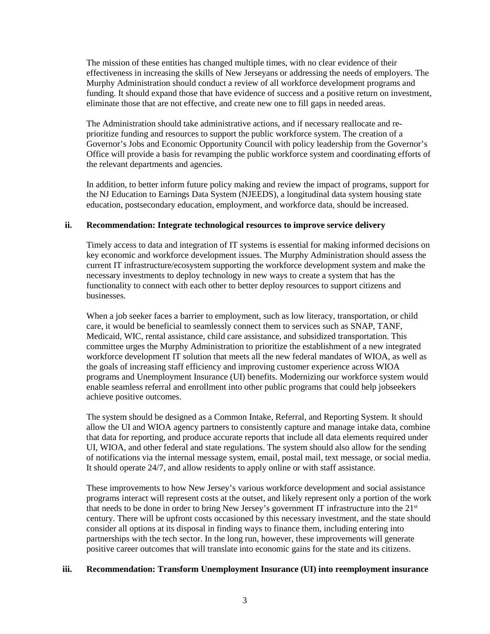The mission of these entities has changed multiple times, with no clear evidence of their effectiveness in increasing the skills of New Jerseyans or addressing the needs of employers. The Murphy Administration should conduct a review of all workforce development programs and funding. It should expand those that have evidence of success and a positive return on investment, eliminate those that are not effective, and create new one to fill gaps in needed areas.

The Administration should take administrative actions, and if necessary reallocate and reprioritize funding and resources to support the public workforce system. The creation of a Governor's Jobs and Economic Opportunity Council with policy leadership from the Governor's Office will provide a basis for revamping the public workforce system and coordinating efforts of the relevant departments and agencies.

In addition, to better inform future policy making and review the impact of programs, support for the NJ Education to Earnings Data System (NJEEDS), a longitudinal data system housing state education, postsecondary education, employment, and workforce data, should be increased.

# **ii. Recommendation: Integrate technological resources to improve service delivery**

Timely access to data and integration of IT systems is essential for making informed decisions on key economic and workforce development issues. The Murphy Administration should assess the current IT infrastructure/ecosystem supporting the workforce development system and make the necessary investments to deploy technology in new ways to create a system that has the functionality to connect with each other to better deploy resources to support citizens and businesses.

When a job seeker faces a barrier to employment, such as low literacy, transportation, or child care, it would be beneficial to seamlessly connect them to services such as SNAP, TANF, Medicaid, WIC, rental assistance, child care assistance, and subsidized transportation. This committee urges the Murphy Administration to prioritize the establishment of a new integrated workforce development IT solution that meets all the new federal mandates of WIOA, as well as the goals of increasing staff efficiency and improving customer experience across WIOA programs and Unemployment Insurance (UI) benefits. Modernizing our workforce system would enable seamless referral and enrollment into other public programs that could help jobseekers achieve positive outcomes.

The system should be designed as a Common Intake, Referral, and Reporting System. It should allow the UI and WIOA agency partners to consistently capture and manage intake data, combine that data for reporting, and produce accurate reports that include all data elements required under UI, WIOA, and other federal and state regulations. The system should also allow for the sending of notifications via the internal message system, email, postal mail, text message, or social media. It should operate 24/7, and allow residents to apply online or with staff assistance.

These improvements to how New Jersey's various workforce development and social assistance programs interact will represent costs at the outset, and likely represent only a portion of the work that needs to be done in order to bring New Jersey's government IT infrastructure into the  $21<sup>st</sup>$ century. There will be upfront costs occasioned by this necessary investment, and the state should consider all options at its disposal in finding ways to finance them, including entering into partnerships with the tech sector. In the long run, however, these improvements will generate positive career outcomes that will translate into economic gains for the state and its citizens.

# **iii. Recommendation: Transform Unemployment Insurance (UI) into reemployment insurance**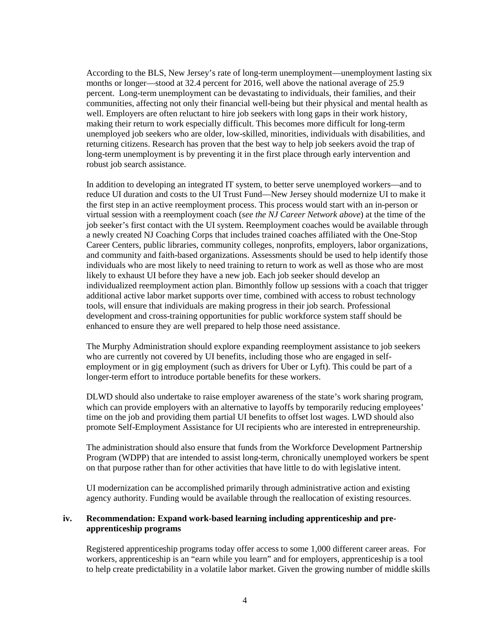According to the BLS, New Jersey's rate of long-term unemployment—unemployment lasting six months or longer—stood at 32.4 percent for 2016, well above the national average of 25.9 percent. Long-term unemployment can be devastating to individuals, their families, and their communities, affecting not only their financial well-being but their physical and mental health as well. Employers are often reluctant to hire job seekers with long gaps in their work history, making their return to work especially difficult. This becomes more difficult for long-term unemployed job seekers who are older, low-skilled, minorities, individuals with disabilities, and returning citizens. Research has proven that the best way to help job seekers avoid the trap of long-term unemployment is by preventing it in the first place through early intervention and robust job search assistance.

In addition to developing an integrated IT system, to better serve unemployed workers—and to reduce UI duration and costs to the UI Trust Fund—New Jersey should modernize UI to make it the first step in an active reemployment process. This process would start with an in-person or virtual session with a reemployment coach (*see the NJ Career Network above*) at the time of the job seeker's first contact with the UI system. Reemployment coaches would be available through a newly created NJ Coaching Corps that includes trained coaches affiliated with the One-Stop Career Centers, public libraries, community colleges, nonprofits, employers, labor organizations, and community and faith-based organizations. Assessments should be used to help identify those individuals who are most likely to need training to return to work as well as those who are most likely to exhaust UI before they have a new job. Each job seeker should develop an individualized reemployment action plan. Bimonthly follow up sessions with a coach that trigger additional active labor market supports over time, combined with access to robust technology tools, will ensure that individuals are making progress in their job search. Professional development and cross-training opportunities for public workforce system staff should be enhanced to ensure they are well prepared to help those need assistance.

The Murphy Administration should explore expanding reemployment assistance to job seekers who are currently not covered by UI benefits, including those who are engaged in selfemployment or in gig employment (such as drivers for Uber or Lyft). This could be part of a longer-term effort to introduce portable benefits for these workers.

DLWD should also undertake to raise employer awareness of the state's work sharing program, which can provide employers with an alternative to layoffs by temporarily reducing employees' time on the job and providing them partial UI benefits to offset lost wages. LWD should also promote Self-Employment Assistance for UI recipients who are interested in entrepreneurship.

The administration should also ensure that funds from the Workforce Development Partnership Program (WDPP) that are intended to assist long-term, chronically unemployed workers be spent on that purpose rather than for other activities that have little to do with legislative intent.

UI modernization can be accomplished primarily through administrative action and existing agency authority. Funding would be available through the reallocation of existing resources.

# **iv. Recommendation: Expand work-based learning including apprenticeship and preapprenticeship programs**

Registered apprenticeship programs today offer access to some 1,000 different career areas. For workers, apprenticeship is an "earn while you learn" and for employers, apprenticeship is a tool to help create predictability in a volatile labor market. Given the growing number of middle skills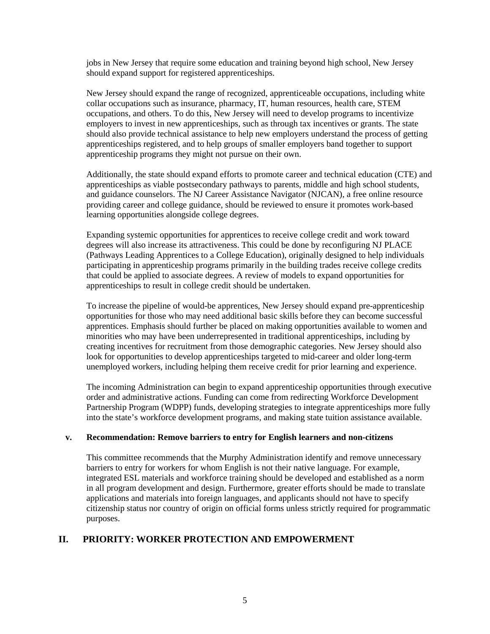jobs in New Jersey that require some education and training beyond high school, New Jersey should expand support for registered apprenticeships.

New Jersey should expand the range of recognized, apprenticeable occupations, including white collar occupations such as insurance, pharmacy, IT, human resources, health care, STEM occupations, and others. To do this, New Jersey will need to develop programs to incentivize employers to invest in new apprenticeships, such as through tax incentives or grants. The state should also provide technical assistance to help new employers understand the process of getting apprenticeships registered, and to help groups of smaller employers band together to support apprenticeship programs they might not pursue on their own.

Additionally, the state should expand efforts to promote career and technical education (CTE) and apprenticeships as viable postsecondary pathways to parents, middle and high school students, and guidance counselors. The NJ Career Assistance Navigator (NJCAN), a free online resource providing career and college guidance, should be reviewed to ensure it promotes work-based learning opportunities alongside college degrees.

Expanding systemic opportunities for apprentices to receive college credit and work toward degrees will also increase its attractiveness. This could be done by reconfiguring NJ PLACE (Pathways Leading Apprentices to a College Education), originally designed to help individuals participating in apprenticeship programs primarily in the building trades receive college credits that could be applied to associate degrees. A review of models to expand opportunities for apprenticeships to result in college credit should be undertaken.

To increase the pipeline of would-be apprentices, New Jersey should expand pre-apprenticeship opportunities for those who may need additional basic skills before they can become successful apprentices. Emphasis should further be placed on making opportunities available to women and minorities who may have been underrepresented in traditional apprenticeships, including by creating incentives for recruitment from those demographic categories. New Jersey should also look for opportunities to develop apprenticeships targeted to mid-career and older long-term unemployed workers, including helping them receive credit for prior learning and experience.

The incoming Administration can begin to expand apprenticeship opportunities through executive order and administrative actions. Funding can come from redirecting Workforce Development Partnership Program (WDPP) funds, developing strategies to integrate apprenticeships more fully into the state's workforce development programs, and making state tuition assistance available.

#### **v. Recommendation: Remove barriers to entry for English learners and non-citizens**

This committee recommends that the Murphy Administration identify and remove unnecessary barriers to entry for workers for whom English is not their native language. For example, integrated ESL materials and workforce training should be developed and established as a norm in all program development and design. Furthermore, greater efforts should be made to translate applications and materials into foreign languages, and applicants should not have to specify citizenship status nor country of origin on official forms unless strictly required for programmatic purposes.

# **II. PRIORITY: WORKER PROTECTION AND EMPOWERMENT**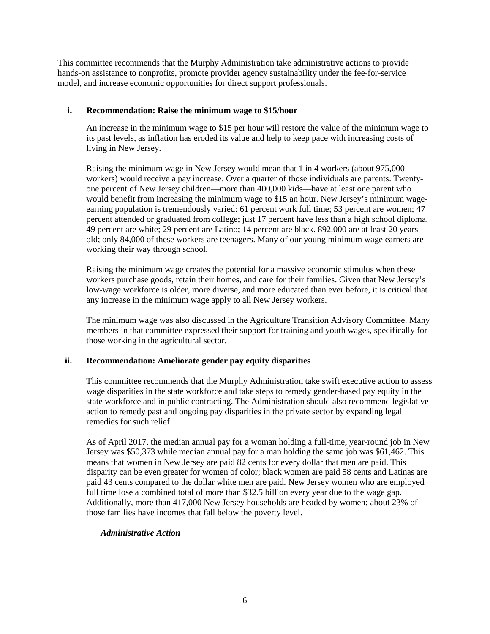This committee recommends that the Murphy Administration take administrative actions to provide hands-on assistance to nonprofits, promote provider agency sustainability under the fee-for-service model, and increase economic opportunities for direct support professionals.

# **i. Recommendation: Raise the minimum wage to \$15/hour**

An increase in the minimum wage to \$15 per hour will restore the value of the minimum wage to its past levels, as inflation has eroded its value and help to keep pace with increasing costs of living in New Jersey.

Raising the minimum wage in New Jersey would mean that 1 in 4 workers (about 975,000 workers) would receive a pay increase. Over a quarter of those individuals are parents. Twentyone percent of New Jersey children—more than 400,000 kids—have at least one parent who would benefit from increasing the minimum wage to \$15 an hour. New Jersey's minimum wageearning population is tremendously varied: 61 percent work full time; 53 percent are women; 47 percent attended or graduated from college; just 17 percent have less than a high school diploma. 49 percent are white; 29 percent are Latino; 14 percent are black. 892,000 are at least 20 years old; only 84,000 of these workers are teenagers. Many of our young minimum wage earners are working their way through school.

Raising the minimum wage creates the potential for a massive economic stimulus when these workers purchase goods, retain their homes, and care for their families. Given that New Jersey's low-wage workforce is older, more diverse, and more educated than ever before, it is critical that any increase in the minimum wage apply to all New Jersey workers.

The minimum wage was also discussed in the Agriculture Transition Advisory Committee. Many members in that committee expressed their support for training and youth wages, specifically for those working in the agricultural sector.

# **ii. Recommendation: Ameliorate gender pay equity disparities**

This committee recommends that the Murphy Administration take swift executive action to assess wage disparities in the state workforce and take steps to remedy gender-based pay equity in the state workforce and in public contracting. The Administration should also recommend legislative action to remedy past and ongoing pay disparities in the private sector by expanding legal remedies for such relief.

As of April 2017, the median annual pay for a woman holding a full-time, year-round job in New Jersey was \$50,373 while median annual pay for a man holding the same job was \$61,462. This means that women in New Jersey are paid 82 cents for every dollar that men are paid. This disparity can be even greater for women of color; black women are paid 58 cents and Latinas are paid 43 cents compared to the dollar white men are paid. New Jersey women who are employed full time lose a combined total of more than \$32.5 billion every year due to the wage gap. Additionally, more than 417,000 New Jersey households are headed by women; about 23% of those families have incomes that fall below the poverty level.

# *Administrative Action*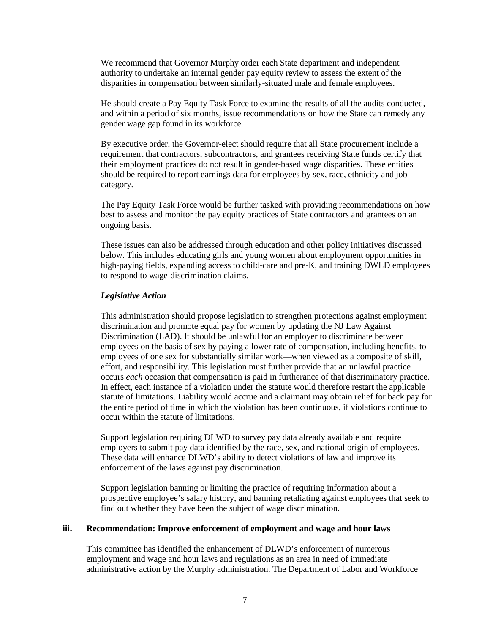We recommend that Governor Murphy order each State department and independent authority to undertake an internal gender pay equity review to assess the extent of the disparities in compensation between similarly-situated male and female employees.

He should create a Pay Equity Task Force to examine the results of all the audits conducted, and within a period of six months, issue recommendations on how the State can remedy any gender wage gap found in its workforce.

By executive order, the Governor-elect should require that all State procurement include a requirement that contractors, subcontractors, and grantees receiving State funds certify that their employment practices do not result in gender-based wage disparities. These entities should be required to report earnings data for employees by sex, race, ethnicity and job category.

The Pay Equity Task Force would be further tasked with providing recommendations on how best to assess and monitor the pay equity practices of State contractors and grantees on an ongoing basis.

These issues can also be addressed through education and other policy initiatives discussed below. This includes educating girls and young women about employment opportunities in high-paying fields, expanding access to child-care and pre-K, and training DWLD employees to respond to wage-discrimination claims.

#### *Legislative Action*

This administration should propose legislation to strengthen protections against employment discrimination and promote equal pay for women by updating the NJ Law Against Discrimination (LAD). It should be unlawful for an employer to discriminate between employees on the basis of sex by paying a lower rate of compensation, including benefits, to employees of one sex for substantially similar work—when viewed as a composite of skill, effort, and responsibility. This legislation must further provide that an unlawful practice occurs *each* occasion that compensation is paid in furtherance of that discriminatory practice. In effect, each instance of a violation under the statute would therefore restart the applicable statute of limitations. Liability would accrue and a claimant may obtain relief for back pay for the entire period of time in which the violation has been continuous, if violations continue to occur within the statute of limitations.

Support legislation requiring DLWD to survey pay data already available and require employers to submit pay data identified by the race, sex, and national origin of employees. These data will enhance DLWD's ability to detect violations of law and improve its enforcement of the laws against pay discrimination.

Support legislation banning or limiting the practice of requiring information about a prospective employee's salary history, and banning retaliating against employees that seek to find out whether they have been the subject of wage discrimination.

#### **iii. Recommendation: Improve enforcement of employment and wage and hour laws**

This committee has identified the enhancement of DLWD's enforcement of numerous employment and wage and hour laws and regulations as an area in need of immediate administrative action by the Murphy administration. The Department of Labor and Workforce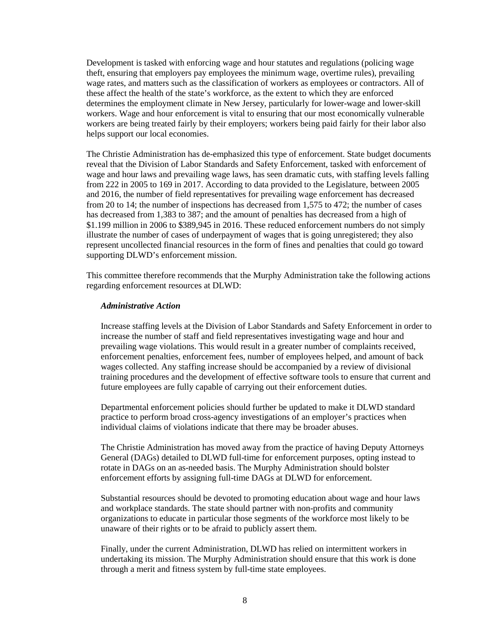Development is tasked with enforcing wage and hour statutes and regulations (policing wage theft, ensuring that employers pay employees the minimum wage, overtime rules), prevailing wage rates, and matters such as the classification of workers as employees or contractors. All of these affect the health of the state's workforce, as the extent to which they are enforced determines the employment climate in New Jersey, particularly for lower-wage and lower-skill workers. Wage and hour enforcement is vital to ensuring that our most economically vulnerable workers are being treated fairly by their employers; workers being paid fairly for their labor also helps support our local economies.

The Christie Administration has de-emphasized this type of enforcement. State budget documents reveal that the Division of Labor Standards and Safety Enforcement, tasked with enforcement of wage and hour laws and prevailing wage laws, has seen dramatic cuts, with staffing levels falling from 222 in 2005 to 169 in 2017. According to data provided to the Legislature, between 2005 and 2016, the number of field representatives for prevailing wage enforcement has decreased from 20 to 14; the number of inspections has decreased from 1,575 to 472; the number of cases has decreased from 1,383 to 387; and the amount of penalties has decreased from a high of \$1.199 million in 2006 to \$389,945 in 2016. These reduced enforcement numbers do not simply illustrate the number of cases of underpayment of wages that is going unregistered; they also represent uncollected financial resources in the form of fines and penalties that could go toward supporting DLWD's enforcement mission.

This committee therefore recommends that the Murphy Administration take the following actions regarding enforcement resources at DLWD:

#### *Administrative Action*

Increase staffing levels at the Division of Labor Standards and Safety Enforcement in order to increase the number of staff and field representatives investigating wage and hour and prevailing wage violations. This would result in a greater number of complaints received, enforcement penalties, enforcement fees, number of employees helped, and amount of back wages collected. Any staffing increase should be accompanied by a review of divisional training procedures and the development of effective software tools to ensure that current and future employees are fully capable of carrying out their enforcement duties.

Departmental enforcement policies should further be updated to make it DLWD standard practice to perform broad cross-agency investigations of an employer's practices when individual claims of violations indicate that there may be broader abuses.

The Christie Administration has moved away from the practice of having Deputy Attorneys General (DAGs) detailed to DLWD full-time for enforcement purposes, opting instead to rotate in DAGs on an as-needed basis. The Murphy Administration should bolster enforcement efforts by assigning full-time DAGs at DLWD for enforcement.

Substantial resources should be devoted to promoting education about wage and hour laws and workplace standards. The state should partner with non-profits and community organizations to educate in particular those segments of the workforce most likely to be unaware of their rights or to be afraid to publicly assert them.

Finally, under the current Administration, DLWD has relied on intermittent workers in undertaking its mission. The Murphy Administration should ensure that this work is done through a merit and fitness system by full-time state employees.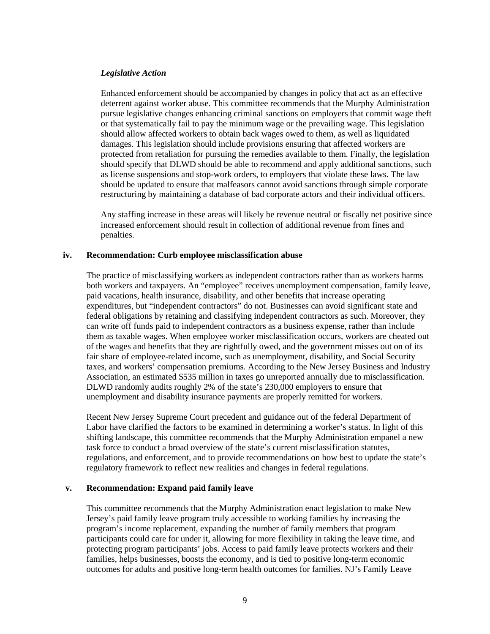# *Legislative Action*

Enhanced enforcement should be accompanied by changes in policy that act as an effective deterrent against worker abuse. This committee recommends that the Murphy Administration pursue legislative changes enhancing criminal sanctions on employers that commit wage theft or that systematically fail to pay the minimum wage or the prevailing wage. This legislation should allow affected workers to obtain back wages owed to them, as well as liquidated damages. This legislation should include provisions ensuring that affected workers are protected from retaliation for pursuing the remedies available to them. Finally, the legislation should specify that DLWD should be able to recommend and apply additional sanctions, such as license suspensions and stop-work orders, to employers that violate these laws. The law should be updated to ensure that malfeasors cannot avoid sanctions through simple corporate restructuring by maintaining a database of bad corporate actors and their individual officers.

Any staffing increase in these areas will likely be revenue neutral or fiscally net positive since increased enforcement should result in collection of additional revenue from fines and penalties.

#### **iv. Recommendation: Curb employee misclassification abuse**

The practice of misclassifying workers as independent contractors rather than as workers harms both workers and taxpayers. An "employee" receives unemployment compensation, family leave, paid vacations, health insurance, disability, and other benefits that increase operating expenditures, but "independent contractors" do not. Businesses can avoid significant state and federal obligations by retaining and classifying independent contractors as such. Moreover, they can write off funds paid to independent contractors as a business expense, rather than include them as taxable wages. When employee worker misclassification occurs, workers are cheated out of the wages and benefits that they are rightfully owed, and the government misses out on of its fair share of employee-related income, such as unemployment, disability, and Social Security taxes, and workers' compensation premiums. According to the New Jersey Business and Industry Association, an estimated \$535 million in taxes go unreported annually due to misclassification. DLWD randomly audits roughly 2% of the state's 230,000 employers to ensure that unemployment and disability insurance payments are properly remitted for workers.

Recent New Jersey Supreme Court precedent and guidance out of the federal Department of Labor have clarified the factors to be examined in determining a worker's status. In light of this shifting landscape, this committee recommends that the Murphy Administration empanel a new task force to conduct a broad overview of the state's current misclassification statutes, regulations, and enforcement, and to provide recommendations on how best to update the state's regulatory framework to reflect new realities and changes in federal regulations.

#### **v. Recommendation: Expand paid family leave**

This committee recommends that the Murphy Administration enact legislation to make New Jersey's paid family leave program truly accessible to working families by increasing the program's income replacement, expanding the number of family members that program participants could care for under it, allowing for more flexibility in taking the leave time, and protecting program participants' jobs. Access to paid family leave protects workers and their families, helps businesses, boosts the economy, and is tied to positive long-term economic outcomes for adults and positive long-term health outcomes for families. NJ's Family Leave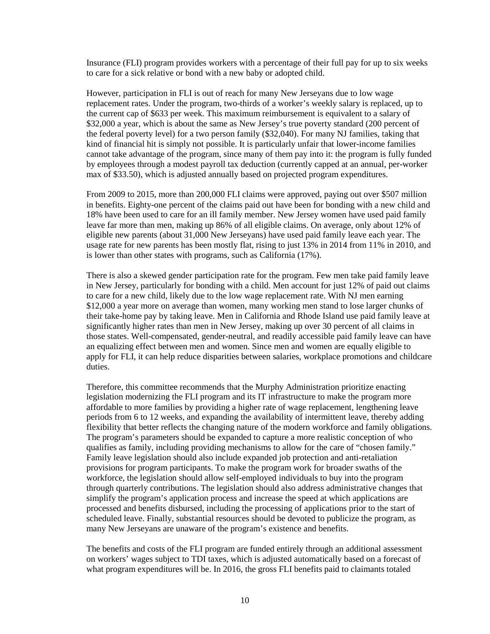Insurance (FLI) program provides workers with a percentage of their full pay for up to six weeks to care for a sick relative or bond with a new baby or adopted child.

However, participation in FLI is out of reach for many New Jerseyans due to low wage replacement rates. Under the program, two-thirds of a worker's weekly salary is replaced, up to the current cap of \$633 per week. This maximum reimbursement is equivalent to a salary of \$32,000 a year, which is about the same as New Jersey's true poverty standard (200 percent of the federal poverty level) for a two person family (\$32,040). For many NJ families, taking that kind of financial hit is simply not possible. It is particularly unfair that lower-income families cannot take advantage of the program, since many of them pay into it: the program is fully funded by employees through a modest payroll tax deduction (currently capped at an annual, per-worker max of \$33.50), which is adjusted annually based on projected program expenditures.

From 2009 to 2015, more than 200,000 FLI claims were approved, paying out over \$507 million in benefits. Eighty-one percent of the claims paid out have been for bonding with a new child and 18% have been used to care for an ill family member. New Jersey women have used paid family leave far more than men, making up 86% of all eligible claims. On average, only about 12% of eligible new parents (about 31,000 New Jerseyans) have used paid family leave each year. The usage rate for new parents has been mostly flat, rising to just 13% in 2014 from 11% in 2010, and is lower than other states with programs, such as California (17%).

There is also a skewed gender participation rate for the program. Few men take paid family leave in New Jersey, particularly for bonding with a child. Men account for just 12% of paid out claims to care for a new child, likely due to the low wage replacement rate. With NJ men earning \$12,000 a year more on average than women, many working men stand to lose larger chunks of their take-home pay by taking leave. Men in California and Rhode Island use paid family leave at significantly higher rates than men in New Jersey, making up over 30 percent of all claims in those states. Well-compensated, gender-neutral, and readily accessible paid family leave can have an equalizing effect between men and women. Since men and women are equally eligible to apply for FLI, it can help reduce disparities between salaries, workplace promotions and childcare duties.

Therefore, this committee recommends that the Murphy Administration prioritize enacting legislation modernizing the FLI program and its IT infrastructure to make the program more affordable to more families by providing a higher rate of wage replacement, lengthening leave periods from 6 to 12 weeks, and expanding the availability of intermittent leave, thereby adding flexibility that better reflects the changing nature of the modern workforce and family obligations. The program's parameters should be expanded to capture a more realistic conception of who qualifies as family, including providing mechanisms to allow for the care of "chosen family." Family leave legislation should also include expanded job protection and anti-retaliation provisions for program participants. To make the program work for broader swaths of the workforce, the legislation should allow self-employed individuals to buy into the program through quarterly contributions. The legislation should also address administrative changes that simplify the program's application process and increase the speed at which applications are processed and benefits disbursed, including the processing of applications prior to the start of scheduled leave. Finally, substantial resources should be devoted to publicize the program, as many New Jerseyans are unaware of the program's existence and benefits.

The benefits and costs of the FLI program are funded entirely through an additional assessment on workers' wages subject to TDI taxes, which is adjusted automatically based on a forecast of what program expenditures will be. In 2016, the gross FLI benefits paid to claimants totaled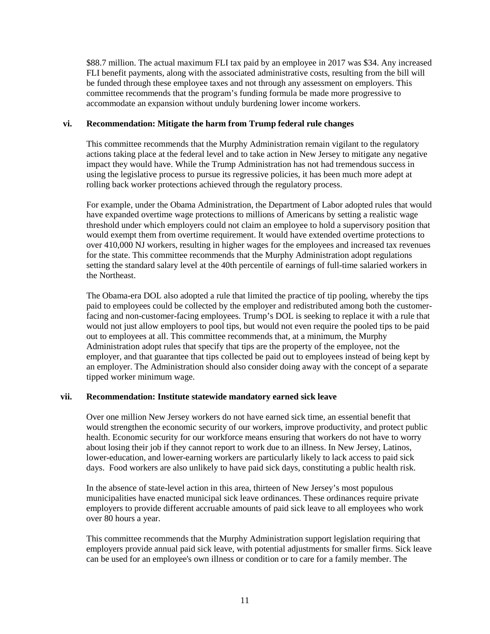\$88.7 million. The actual maximum FLI tax paid by an employee in 2017 was \$34. Any increased FLI benefit payments, along with the associated administrative costs, resulting from the bill will be funded through these employee taxes and not through any assessment on employers. This committee recommends that the program's funding formula be made more progressive to accommodate an expansion without unduly burdening lower income workers.

# **vi. Recommendation: Mitigate the harm from Trump federal rule changes**

This committee recommends that the Murphy Administration remain vigilant to the regulatory actions taking place at the federal level and to take action in New Jersey to mitigate any negative impact they would have. While the Trump Administration has not had tremendous success in using the legislative process to pursue its regressive policies, it has been much more adept at rolling back worker protections achieved through the regulatory process.

For example, under the Obama Administration, the Department of Labor adopted rules that would have expanded overtime wage protections to millions of Americans by setting a realistic wage threshold under which employers could not claim an employee to hold a supervisory position that would exempt them from overtime requirement. It would have extended overtime protections to over 410,000 NJ workers, resulting in higher wages for the employees and increased tax revenues for the state. This committee recommends that the Murphy Administration adopt regulations setting the standard salary level at the 40th percentile of earnings of full-time salaried workers in the Northeast.

The Obama-era DOL also adopted a rule that limited the practice of tip pooling, whereby the tips paid to employees could be collected by the employer and redistributed among both the customerfacing and non-customer-facing employees. Trump's DOL is seeking to replace it with a rule that would not just allow employers to pool tips, but would not even require the pooled tips to be paid out to employees at all. This committee recommends that, at a minimum, the Murphy Administration adopt rules that specify that tips are the property of the employee, not the employer, and that guarantee that tips collected be paid out to employees instead of being kept by an employer. The Administration should also consider doing away with the concept of a separate tipped worker minimum wage.

#### **vii. Recommendation: Institute statewide mandatory earned sick leave**

Over one million New Jersey workers do not have earned sick time, an essential benefit that would strengthen the economic security of our workers, improve productivity, and protect public health. Economic security for our workforce means ensuring that workers do not have to worry about losing their job if they cannot report to work due to an illness. In New Jersey, Latinos, lower-education, and lower-earning workers are particularly likely to lack access to paid sick days. Food workers are also unlikely to have paid sick days, constituting a public health risk.

In the absence of state-level action in this area, thirteen of New Jersey's most populous municipalities have enacted municipal sick leave ordinances. These ordinances require private employers to provide different accruable amounts of paid sick leave to all employees who work over 80 hours a year.

This committee recommends that the Murphy Administration support legislation requiring that employers provide annual paid sick leave, with potential adjustments for smaller firms. Sick leave can be used for an employee's own illness or condition or to care for a family member. The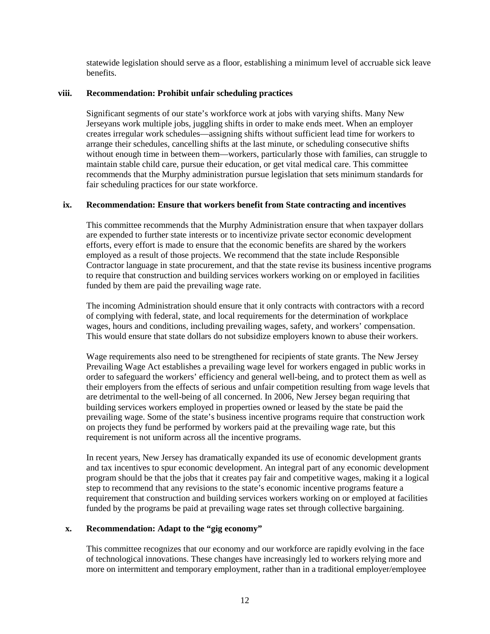statewide legislation should serve as a floor, establishing a minimum level of accruable sick leave benefits.

# **viii. Recommendation: Prohibit unfair scheduling practices**

Significant segments of our state's workforce work at jobs with varying shifts. Many New Jerseyans work multiple jobs, juggling shifts in order to make ends meet. When an employer creates irregular work schedules—assigning shifts without sufficient lead time for workers to arrange their schedules, cancelling shifts at the last minute, or scheduling consecutive shifts without enough time in between them—workers, particularly those with families, can struggle to maintain stable child care, pursue their education, or get vital medical care. This committee recommends that the Murphy administration pursue legislation that sets minimum standards for fair scheduling practices for our state workforce.

# **ix. Recommendation: Ensure that workers benefit from State contracting and incentives**

This committee recommends that the Murphy Administration ensure that when taxpayer dollars are expended to further state interests or to incentivize private sector economic development efforts, every effort is made to ensure that the economic benefits are shared by the workers employed as a result of those projects. We recommend that the state include Responsible Contractor language in state procurement, and that the state revise its business incentive programs to require that construction and building services workers working on or employed in facilities funded by them are paid the prevailing wage rate.

The incoming Administration should ensure that it only contracts with contractors with a record of complying with federal, state, and local requirements for the determination of workplace wages, hours and conditions, including prevailing wages, safety, and workers' compensation. This would ensure that state dollars do not subsidize employers known to abuse their workers.

Wage requirements also need to be strengthened for recipients of state grants. The New Jersey Prevailing Wage Act establishes a prevailing wage level for workers engaged in public works in order to safeguard the workers' efficiency and general well-being, and to protect them as well as their employers from the effects of serious and unfair competition resulting from wage levels that are detrimental to the well-being of all concerned. In 2006, New Jersey began requiring that building services workers employed in properties owned or leased by the state be paid the prevailing wage. Some of the state's business incentive programs require that construction work on projects they fund be performed by workers paid at the prevailing wage rate, but this requirement is not uniform across all the incentive programs.

In recent years, New Jersey has dramatically expanded its use of economic development grants and tax incentives to spur economic development. An integral part of any economic development program should be that the jobs that it creates pay fair and competitive wages, making it a logical step to recommend that any revisions to the state's economic incentive programs feature a requirement that construction and building services workers working on or employed at facilities funded by the programs be paid at prevailing wage rates set through collective bargaining.

# **x. Recommendation: Adapt to the "gig economy"**

This committee recognizes that our economy and our workforce are rapidly evolving in the face of technological innovations. These changes have increasingly led to workers relying more and more on intermittent and temporary employment, rather than in a traditional employer/employee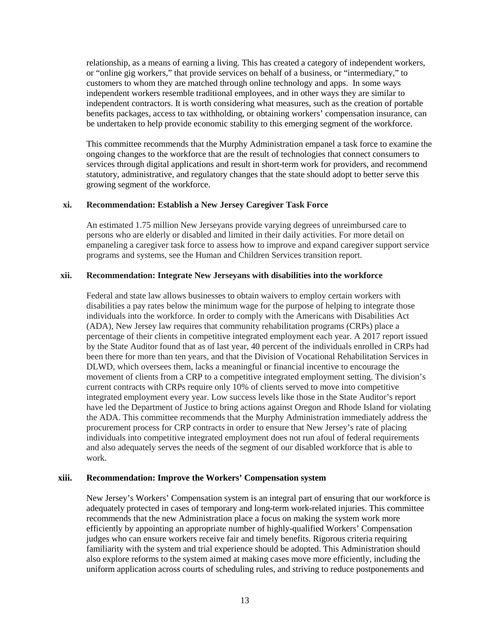relationship, as a means of earning a living. This has created a category of independent workers, or "online gig workers," that provide services on behalf of a business, or "intermediary," to customers to whom they are matched through online technology and apps. In some ways independent workers resemble traditional employees, and in other ways they are similar to independent contractors. It is worth considering what measures, such as the creation of portable benefits packages, access to tax withholding, or obtaining workers' compensation insurance, can be undertaken to help provide economic stability to this emerging segment of the workforce.

This committee recommends that the Murphy Administration empanel a task force to examine the ongoing changes to the workforce that are the result of technologies that connect consumers to services through digital applications and result in short-term work for providers, and recommend statutory, administrative, and regulatory changes that the state should adopt to better serve this growing segment of the workforce.

# **xi. Recommendation: Establish a New Jersey Caregiver Task Force**

An estimated 1.75 million New Jerseyans provide varying degrees of unreimbursed care to persons who are elderly or disabled and limited in their daily activities. For more detail on empaneling a caregiver task force to assess how to improve and expand caregiver support service programs and systems, see the Human and Children Services transition report.

# **xii. Recommendation: Integrate New Jerseyans with disabilities into the workforce**

Federal and state law allows businesses to obtain waivers to employ certain workers with disabilities a pay rates below the minimum wage for the purpose of helping to integrate those individuals into the workforce. In order to comply with the Americans with Disabilities Act (ADA), New Jersey law requires that community rehabilitation programs (CRPs) place a percentage of their clients in competitive integrated employment each year. A 2017 report issued by the State Auditor found that as of last year, 40 percent of the individuals enrolled in CRPs had been there for more than ten years, and that the Division of Vocational Rehabilitation Services in DLWD, which oversees them, lacks a meaningful or financial incentive to encourage the movement of clients from a CRP to a competitive integrated employment setting. The division's current contracts with CRPs require only 10% of clients served to move into competitive integrated employment every year. Low success levels like those in the State Auditor's report have led the Department of Justice to bring actions against Oregon and Rhode Island for violating the ADA. This committee recommends that the Murphy Administration immediately address the procurement process for CRP contracts in order to ensure that New Jersey's rate of placing individuals into competitive integrated employment does not run afoul of federal requirements and also adequately serves the needs of the segment of our disabled workforce that is able to work.

#### **xiii. Recommendation: Improve the Workers' Compensation system**

New Jersey's Workers' Compensation system is an integral part of ensuring that our workforce is adequately protected in cases of temporary and long-term work-related injuries. This committee recommends that the new Administration place a focus on making the system work more efficiently by appointing an appropriate number of highly-qualified Workers' Compensation judges who can ensure workers receive fair and timely benefits. Rigorous criteria requiring familiarity with the system and trial experience should be adopted. This Administration should also explore reforms to the system aimed at making cases move more efficiently, including the uniform application across courts of scheduling rules, and striving to reduce postponements and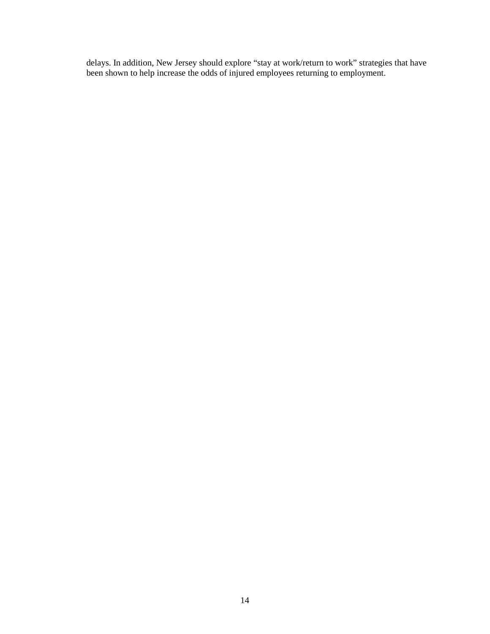delays. In addition, New Jersey should explore "stay at work/return to work" strategies that have been shown to help increase the odds of injured employees returning to employment.